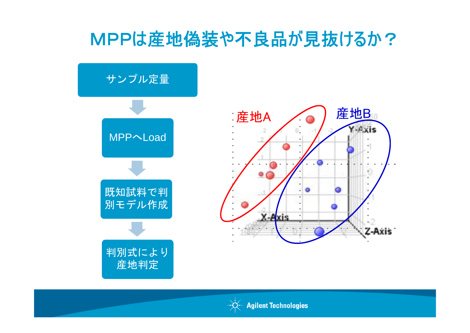## MPPは産地偽装や不良品が見抜けるか?



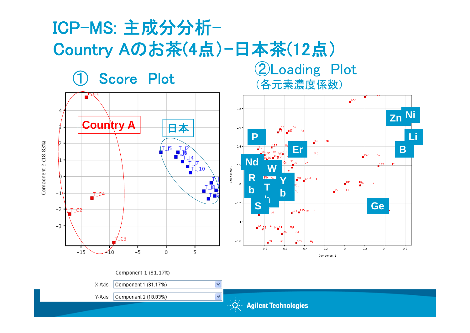# ICP-MS: 主成分分析-Country Aのお茶(4点)-日本茶(12点)

**Score Plot** (各元素濃度係数)



 $\checkmark$ 

 $\checkmark$ 

Component 1 (81.17%)

Y-Axis

X-Axis

**Agilent Technologies**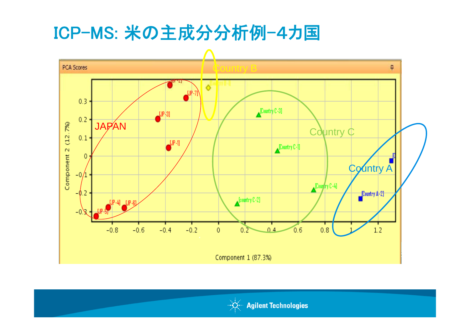### ICP-MS: 米の主成分分析例-4カ国



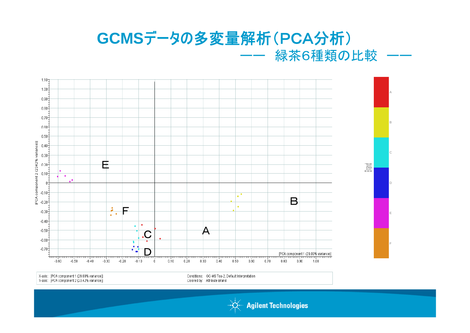### **GCMS**データの多変量解析(PCA分析) ーーーーーーーーーーーーーー 緑茶6種類の比較



X-axis: [PCA component 1 (29.09% variance)] Y-axis: [PCA component 2 (23.42% variance)] Conditions: GC-MS Tea-2, Default Interpretation Colored by: Attribute Brand

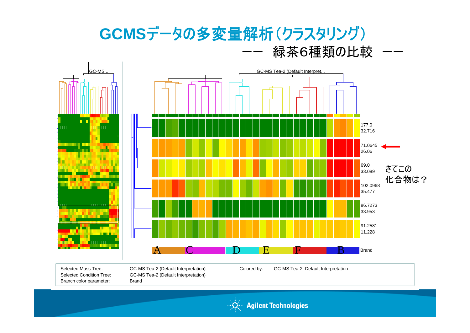

Branch color parameter: Brand

Selected Condition Tree: GC-MS Tea-2 (Default Interpretation) **Brand** 

Colored by: GC-MS Tea-2, Default Interpretation



**Agilent Technologies**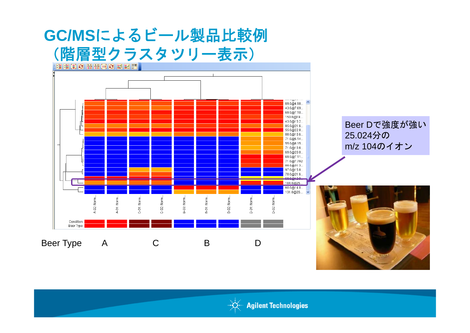

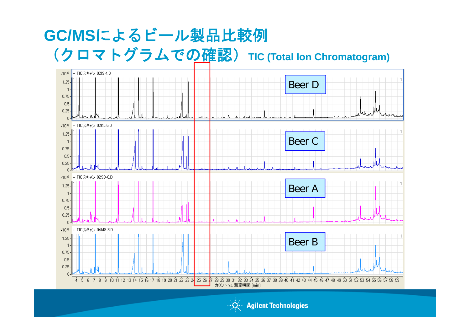### **GC/MS**によるビール製品比較例 (クロマトグラムでの確認)**TIC( <sup>C</sup> ) Total Ion Chromatogram)**



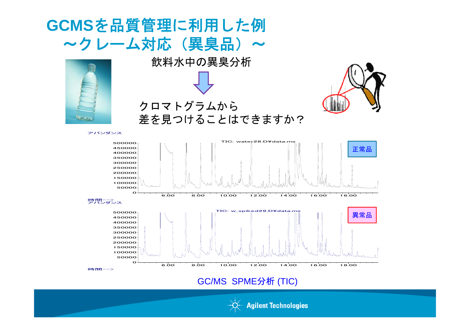

GC/MS SPME 分析 (TIC)



**Agilent Technologies**